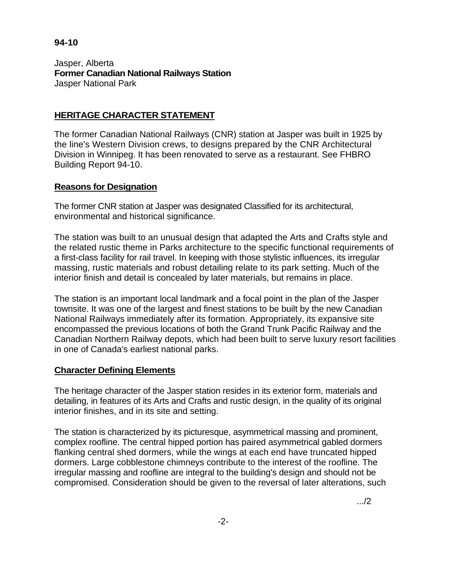## **94-10**

Jasper, Alberta **Former Canadian National Railways Station**  Jasper National Park

# **HERITAGE CHARACTER STATEMENT**

The former Canadian National Railways (CNR) station at Jasper was built in 1925 by the line's Western Division crews, to designs prepared by the CNR Architectural Division in Winnipeg. It has been renovated to serve as a restaurant. See FHBRO Building Report 94-10.

## **Reasons for Designation**

The former CNR station at Jasper was designated Classified for its architectural, environmental and historical significance.

The station was built to an unusual design that adapted the Arts and Crafts style and the related rustic theme in Parks architecture to the specific functional requirements of a first-class facility for rail travel. In keeping with those stylistic influences, its irregular massing, rustic materials and robust detailing relate to its park setting. Much of the interior finish and detail is concealed by later materials, but remains in place.

The station is an important local landmark and a focal point in the plan of the Jasper townsite. It was one of the largest and finest stations to be built by the new Canadian National Railways immediately after its formation. Appropriately, its expansive site encompassed the previous locations of both the Grand Trunk Pacific Railway and the Canadian Northern Railway depots, which had been built to serve luxury resort facilities in one of Canada's earliest national parks.

# **Character Defining Elements**

The heritage character of the Jasper station resides in its exterior form, materials and detailing, in features of its Arts and Crafts and rustic design, in the quality of its original interior finishes, and in its site and setting.

The station is characterized by its picturesque, asymmetrical massing and prominent, complex roofline. The central hipped portion has paired asymmetrical gabled dormers flanking central shed dormers, while the wings at each end have truncated hipped dormers. Large cobblestone chimneys contribute to the interest of the roofline. The irregular massing and roofline are integral to the building's design and should not be compromised. Consideration should be given to the reversal of later alterations, such

.../2